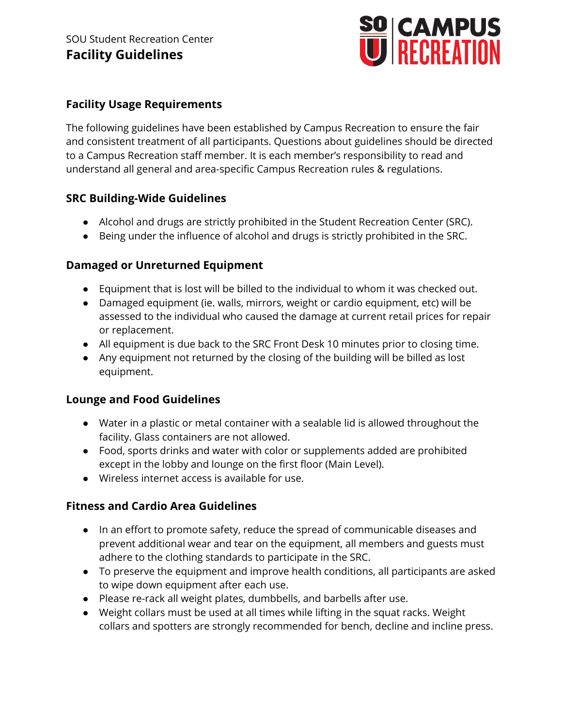

### **Facility Usage Requirements**

The following guidelines have been established by Campus Recreation to ensure the fair and consistent treatment of all participants. Questions about guidelines should be directed to a Campus Recreation staff member. It is each member's responsibility to read and understand all general and area-specific Campus Recreation rules & regulations.

### **SRC Building-Wide Guidelines**

- Alcohol and drugs are strictly prohibited in the Student Recreation Center (SRC).
- Being under the influence of alcohol and drugs is strictly prohibited in the SRC.

### **Damaged or Unreturned Equipment**

- Equipment that is lost will be billed to the individual to whom it was checked out.
- Damaged equipment (ie. walls, mirrors, weight or cardio equipment, etc) will be assessed to the individual who caused the damage at current retail prices for repair or replacement.
- All equipment is due back to the SRC Front Desk 10 minutes prior to closing time.
- Any equipment not returned by the closing of the building will be billed as lost equipment.

#### **Lounge and Food Guidelines**

- Water in a plastic or metal container with a sealable lid is allowed throughout the facility. Glass containers are not allowed.
- Food, sports drinks and water with color or supplements added are prohibited except in the lobby and lounge on the first floor (Main Level).
- Wireless internet access is available for use.

## **Fitness and Cardio Area Guidelines**

- In an effort to promote safety, reduce the spread of communicable diseases and prevent additional wear and tear on the equipment, all members and guests must adhere to the clothing standards to participate in the SRC.
- To preserve the equipment and improve health conditions, all participants are asked to wipe down equipment after each use.
- Please re-rack all weight plates, dumbbells, and barbells after use.
- Weight collars must be used at all times while lifting in the squat racks. Weight collars and spotters are strongly recommended for bench, decline and incline press.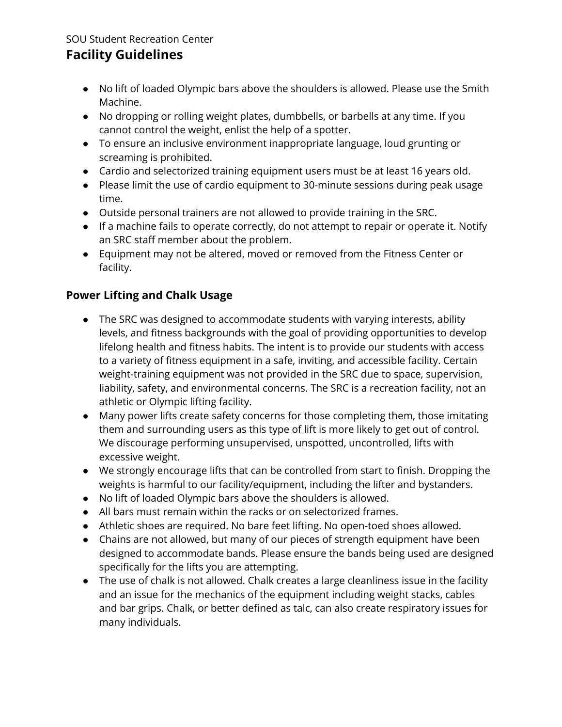# **Facility Guidelines**

- No lift of loaded Olympic bars above the shoulders is allowed. Please use the Smith Machine.
- No dropping or rolling weight plates, dumbbells, or barbells at any time. If you cannot control the weight, enlist the help of a spotter.
- To ensure an inclusive environment inappropriate language, loud grunting or screaming is prohibited.
- Cardio and selectorized training equipment users must be at least 16 years old.
- Please limit the use of cardio equipment to 30-minute sessions during peak usage time.
- Outside personal trainers are not allowed to provide training in the SRC.
- If a machine fails to operate correctly, do not attempt to repair or operate it. Notify an SRC staff member about the problem.
- Equipment may not be altered, moved or removed from the Fitness Center or facility.

## **Power Lifting and Chalk Usage**

- The SRC was designed to accommodate students with varying interests, ability levels, and fitness backgrounds with the goal of providing opportunities to develop lifelong health and fitness habits. The intent is to provide our students with access to a variety of fitness equipment in a safe, inviting, and accessible facility. Certain weight-training equipment was not provided in the SRC due to space, supervision, liability, safety, and environmental concerns. The SRC is a recreation facility, not an athletic or Olympic lifting facility.
- Many power lifts create safety concerns for those completing them, those imitating them and surrounding users as this type of lift is more likely to get out of control. We discourage performing unsupervised, unspotted, uncontrolled, lifts with excessive weight.
- We strongly encourage lifts that can be controlled from start to finish. Dropping the weights is harmful to our facility/equipment, including the lifter and bystanders.
- No lift of loaded Olympic bars above the shoulders is allowed.
- All bars must remain within the racks or on selectorized frames.
- Athletic shoes are required. No bare feet lifting. No open-toed shoes allowed.
- Chains are not allowed, but many of our pieces of strength equipment have been designed to accommodate bands. Please ensure the bands being used are designed specifically for the lifts you are attempting.
- The use of chalk is not allowed. Chalk creates a large cleanliness issue in the facility and an issue for the mechanics of the equipment including weight stacks, cables and bar grips. Chalk, or better defined as talc, can also create respiratory issues for many individuals.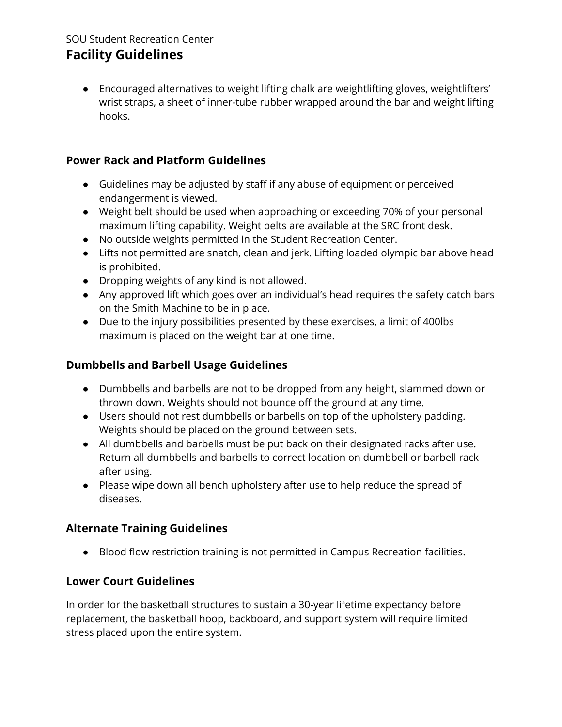# **Facility Guidelines**

● Encouraged alternatives to weight lifting chalk are weightlifting gloves, weightlifters' wrist straps, a sheet of inner-tube rubber wrapped around the bar and weight lifting hooks.

## **Power Rack and Platform Guidelines**

- Guidelines may be adjusted by staff if any abuse of equipment or perceived endangerment is viewed.
- Weight belt should be used when approaching or exceeding 70% of your personal maximum lifting capability. Weight belts are available at the SRC front desk.
- No outside weights permitted in the Student Recreation Center.
- Lifts not permitted are snatch, clean and jerk. Lifting loaded olympic bar above head is prohibited.
- Dropping weights of any kind is not allowed.
- Any approved lift which goes over an individual's head requires the safety catch bars on the Smith Machine to be in place.
- Due to the injury possibilities presented by these exercises, a limit of 400lbs maximum is placed on the weight bar at one time.

## **Dumbbells and Barbell Usage Guidelines**

- Dumbbells and barbells are not to be dropped from any height, slammed down or thrown down. Weights should not bounce off the ground at any time.
- Users should not rest dumbbells or barbells on top of the upholstery padding. Weights should be placed on the ground between sets.
- All dumbbells and barbells must be put back on their designated racks after use. Return all dumbbells and barbells to correct location on dumbbell or barbell rack after using.
- Please wipe down all bench upholstery after use to help reduce the spread of diseases.

## **Alternate Training Guidelines**

● Blood flow restriction training is not permitted in Campus Recreation facilities.

## **Lower Court Guidelines**

In order for the basketball structures to sustain a 30-year lifetime expectancy before replacement, the basketball hoop, backboard, and support system will require limited stress placed upon the entire system.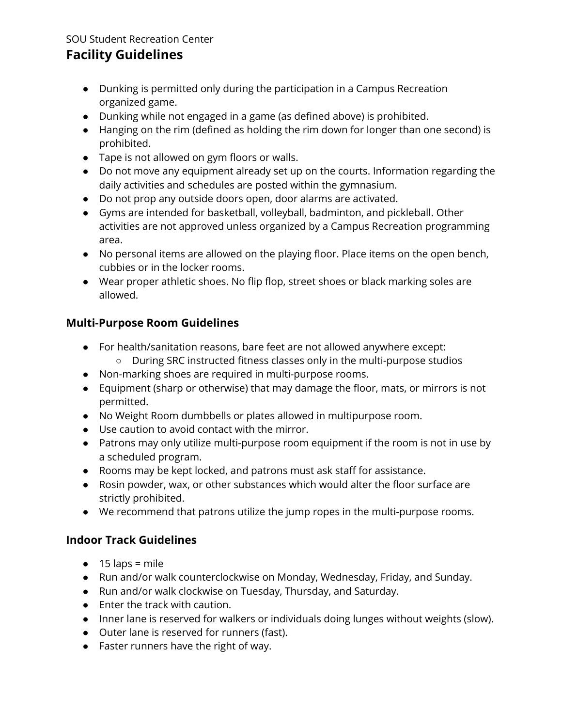# **Facility Guidelines**

- Dunking is permitted only during the participation in a Campus Recreation organized game.
- Dunking while not engaged in a game (as defined above) is prohibited.
- Hanging on the rim (defined as holding the rim down for longer than one second) is prohibited.
- Tape is not allowed on gym floors or walls.
- Do not move any equipment already set up on the courts. Information regarding the daily activities and schedules are posted within the gymnasium.
- Do not prop any outside doors open, door alarms are activated.
- Gyms are intended for basketball, volleyball, badminton, and pickleball. Other activities are not approved unless organized by a Campus Recreation programming area.
- No personal items are allowed on the playing floor. Place items on the open bench, cubbies or in the locker rooms.
- Wear proper athletic shoes. No flip flop, street shoes or black marking soles are allowed.

## **Multi-Purpose Room Guidelines**

- For health/sanitation reasons, bare feet are not allowed anywhere except:
	- During SRC instructed fitness classes only in the multi-purpose studios
- Non-marking shoes are required in multi-purpose rooms.
- Equipment (sharp or otherwise) that may damage the floor, mats, or mirrors is not permitted.
- No Weight Room dumbbells or plates allowed in multipurpose room.
- Use caution to avoid contact with the mirror.
- Patrons may only utilize multi-purpose room equipment if the room is not in use by a scheduled program.
- Rooms may be kept locked, and patrons must ask staff for assistance.
- Rosin powder, wax, or other substances which would alter the floor surface are strictly prohibited.
- We recommend that patrons utilize the jump ropes in the multi-purpose rooms.

## **Indoor Track Guidelines**

- $\bullet$  15 laps = mile
- Run and/or walk counterclockwise on Monday, Wednesday, Friday, and Sunday.
- Run and/or walk clockwise on Tuesday, Thursday, and Saturday.
- Enter the track with caution.
- Inner lane is reserved for walkers or individuals doing lunges without weights (slow).
- Outer lane is reserved for runners (fast).
- Faster runners have the right of way.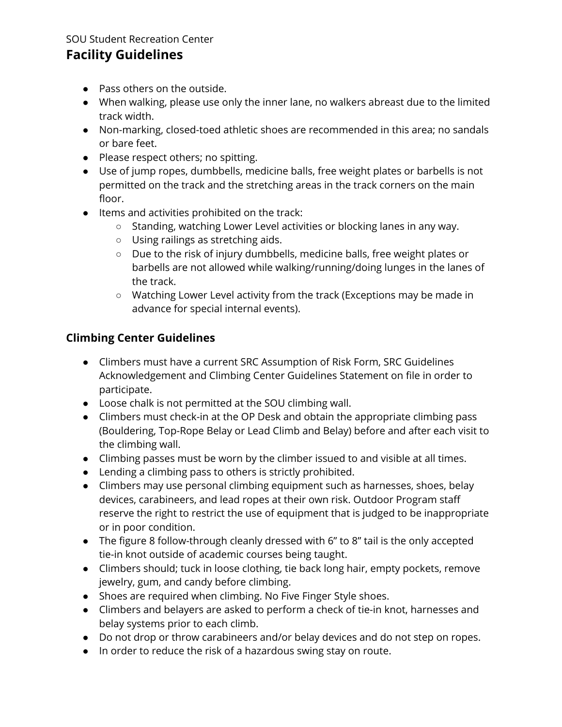# **Facility Guidelines**

- Pass others on the outside.
- When walking, please use only the inner lane, no walkers abreast due to the limited track width.
- Non-marking, closed-toed athletic shoes are recommended in this area; no sandals or bare feet.
- Please respect others; no spitting.
- Use of jump ropes, dumbbells, medicine balls, free weight plates or barbells is not permitted on the track and the stretching areas in the track corners on the main floor.
- Items and activities prohibited on the track:
	- Standing, watching Lower Level activities or blocking lanes in any way.
	- Using railings as stretching aids.
	- Due to the risk of injury dumbbells, medicine balls, free weight plates or barbells are not allowed while walking/running/doing lunges in the lanes of the track.
	- Watching Lower Level activity from the track (Exceptions may be made in advance for special internal events).

## **Climbing Center Guidelines**

- Climbers must have a current SRC Assumption of Risk Form, SRC Guidelines Acknowledgement and Climbing Center Guidelines Statement on file in order to participate.
- Loose chalk is not permitted at the SOU climbing wall.
- Climbers must check-in at the OP Desk and obtain the appropriate climbing pass (Bouldering, Top-Rope Belay or Lead Climb and Belay) before and after each visit to the climbing wall.
- Climbing passes must be worn by the climber issued to and visible at all times.
- Lending a climbing pass to others is strictly prohibited.
- Climbers may use personal climbing equipment such as harnesses, shoes, belay devices, carabineers, and lead ropes at their own risk. Outdoor Program staff reserve the right to restrict the use of equipment that is judged to be inappropriate or in poor condition.
- The figure 8 follow-through cleanly dressed with 6" to 8" tail is the only accepted tie-in knot outside of academic courses being taught.
- Climbers should; tuck in loose clothing, tie back long hair, empty pockets, remove jewelry, gum, and candy before climbing.
- Shoes are required when climbing. No Five Finger Style shoes.
- Climbers and belayers are asked to perform a check of tie-in knot, harnesses and belay systems prior to each climb.
- Do not drop or throw carabineers and/or belay devices and do not step on ropes.
- In order to reduce the risk of a hazardous swing stay on route.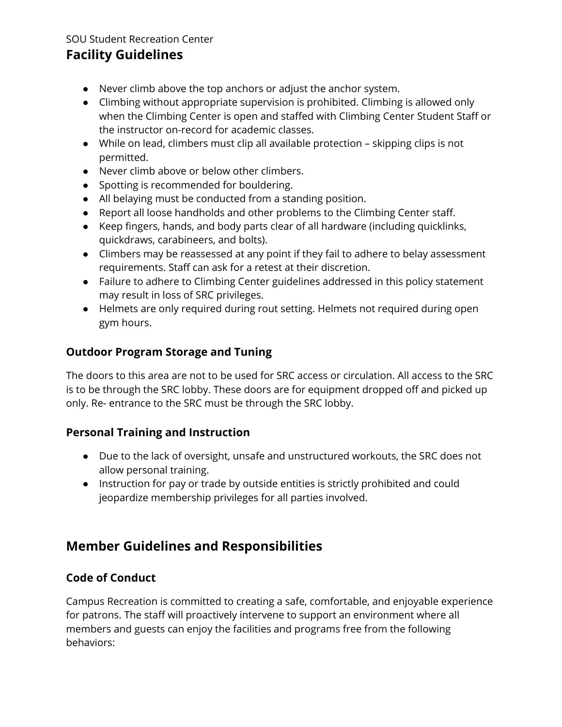# **Facility Guidelines**

- Never climb above the top anchors or adjust the anchor system.
- Climbing without appropriate supervision is prohibited. Climbing is allowed only when the Climbing Center is open and staffed with Climbing Center Student Staff or the instructor on-record for academic classes.
- While on lead, climbers must clip all available protection skipping clips is not permitted.
- Never climb above or below other climbers.
- Spotting is recommended for bouldering.
- All belaying must be conducted from a standing position.
- Report all loose handholds and other problems to the Climbing Center staff.
- Keep fingers, hands, and body parts clear of all hardware (including quicklinks, quickdraws, carabineers, and bolts).
- Climbers may be reassessed at any point if they fail to adhere to belay assessment requirements. Staff can ask for a retest at their discretion.
- Failure to adhere to Climbing Center guidelines addressed in this policy statement may result in loss of SRC privileges.
- Helmets are only required during rout setting. Helmets not required during open gym hours.

## **Outdoor Program Storage and Tuning**

The doors to this area are not to be used for SRC access or circulation. All access to the SRC is to be through the SRC lobby. These doors are for equipment dropped off and picked up only. Re- entrance to the SRC must be through the SRC lobby.

## **Personal Training and Instruction**

- Due to the lack of oversight, unsafe and unstructured workouts, the SRC does not allow personal training.
- Instruction for pay or trade by outside entities is strictly prohibited and could jeopardize membership privileges for all parties involved.

# **Member Guidelines and Responsibilities**

## **Code of Conduct**

Campus Recreation is committed to creating a safe, comfortable, and enjoyable experience for patrons. The staff will proactively intervene to support an environment where all members and guests can enjoy the facilities and programs free from the following behaviors: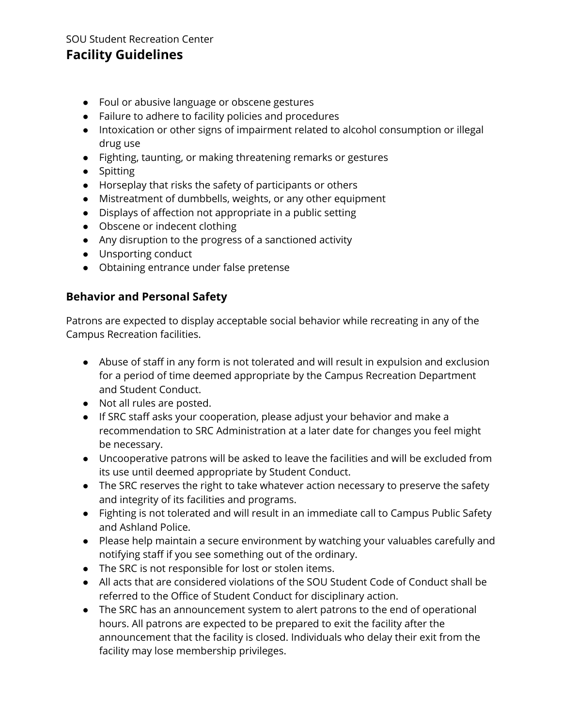## **Facility Guidelines**

- Foul or abusive language or obscene gestures
- Failure to adhere to facility policies and procedures
- Intoxication or other signs of impairment related to alcohol consumption or illegal drug use
- Fighting, taunting, or making threatening remarks or gestures
- Spitting
- Horseplay that risks the safety of participants or others
- Mistreatment of dumbbells, weights, or any other equipment
- Displays of affection not appropriate in a public setting
- Obscene or indecent clothing
- Any disruption to the progress of a sanctioned activity
- Unsporting conduct
- Obtaining entrance under false pretense

#### **Behavior and Personal Safety**

Patrons are expected to display acceptable social behavior while recreating in any of the Campus Recreation facilities.

- Abuse of staff in any form is not tolerated and will result in expulsion and exclusion for a period of time deemed appropriate by the Campus Recreation Department and Student Conduct.
- Not all rules are posted.
- If SRC staff asks your cooperation, please adjust your behavior and make a recommendation to SRC Administration at a later date for changes you feel might be necessary.
- Uncooperative patrons will be asked to leave the facilities and will be excluded from its use until deemed appropriate by Student Conduct.
- The SRC reserves the right to take whatever action necessary to preserve the safety and integrity of its facilities and programs.
- Fighting is not tolerated and will result in an immediate call to Campus Public Safety and Ashland Police.
- Please help maintain a secure environment by watching your valuables carefully and notifying staff if you see something out of the ordinary.
- The SRC is not responsible for lost or stolen items.
- All acts that are considered violations of the SOU Student Code of Conduct shall be referred to the Office of Student Conduct for disciplinary action.
- The SRC has an announcement system to alert patrons to the end of operational hours. All patrons are expected to be prepared to exit the facility after the announcement that the facility is closed. Individuals who delay their exit from the facility may lose membership privileges.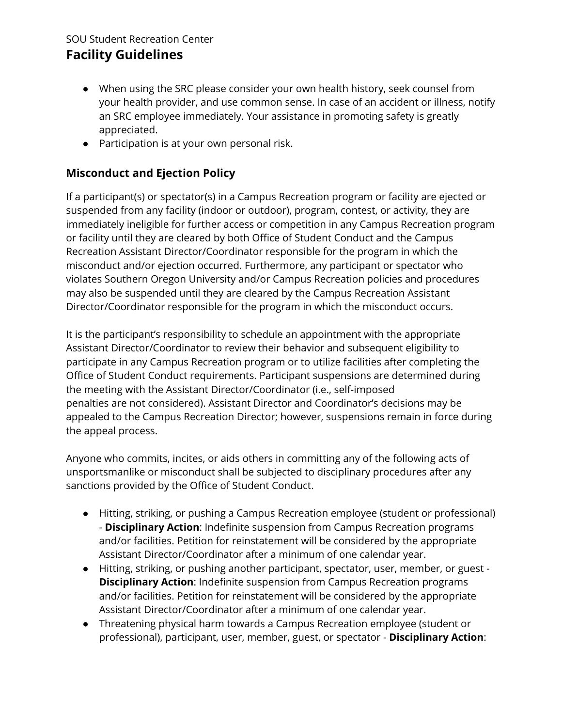## **Facility Guidelines**

- When using the SRC please consider your own health history, seek counsel from your health provider, and use common sense. In case of an accident or illness, notify an SRC employee immediately. Your assistance in promoting safety is greatly appreciated.
- Participation is at your own personal risk.

## **Misconduct and Ejection Policy**

If a participant(s) or spectator(s) in a Campus Recreation program or facility are ejected or suspended from any facility (indoor or outdoor), program, contest, or activity, they are immediately ineligible for further access or competition in any Campus Recreation program or facility until they are cleared by both Office of Student Conduct and the Campus Recreation Assistant Director/Coordinator responsible for the program in which the misconduct and/or ejection occurred. Furthermore, any participant or spectator who violates Southern Oregon University and/or Campus Recreation policies and procedures may also be suspended until they are cleared by the Campus Recreation Assistant Director/Coordinator responsible for the program in which the misconduct occurs.

It is the participant's responsibility to schedule an appointment with the appropriate Assistant Director/Coordinator to review their behavior and subsequent eligibility to participate in any Campus Recreation program or to utilize facilities after completing the Office of Student Conduct requirements. Participant suspensions are determined during the meeting with the Assistant Director/Coordinator (i.e., self-imposed penalties are not considered). Assistant Director and Coordinator's decisions may be appealed to the Campus Recreation Director; however, suspensions remain in force during the appeal process.

Anyone who commits, incites, or aids others in committing any of the following acts of unsportsmanlike or misconduct shall be subjected to disciplinary procedures after any sanctions provided by the Office of Student Conduct.

- Hitting, striking, or pushing a Campus Recreation employee (student or professional) - **Disciplinary Action**: Indefinite suspension from Campus Recreation programs and/or facilities. Petition for reinstatement will be considered by the appropriate Assistant Director/Coordinator after a minimum of one calendar year.
- Hitting, striking, or pushing another participant, spectator, user, member, or guest **Disciplinary Action**: Indefinite suspension from Campus Recreation programs and/or facilities. Petition for reinstatement will be considered by the appropriate Assistant Director/Coordinator after a minimum of one calendar year.
- Threatening physical harm towards a Campus Recreation employee (student or professional), participant, user, member, guest, or spectator - **Disciplinary Action**: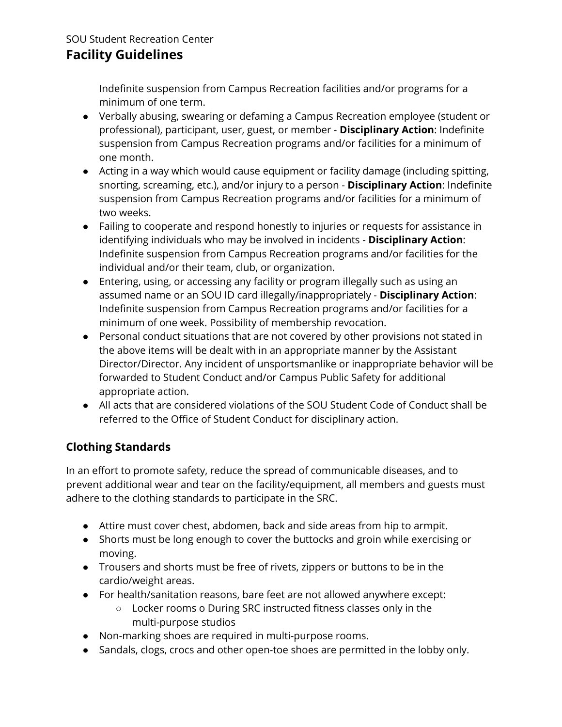# **Facility Guidelines**

Indefinite suspension from Campus Recreation facilities and/or programs for a minimum of one term.

- Verbally abusing, swearing or defaming a Campus Recreation employee (student or professional), participant, user, guest, or member - **Disciplinary Action**: Indefinite suspension from Campus Recreation programs and/or facilities for a minimum of one month.
- Acting in a way which would cause equipment or facility damage (including spitting, snorting, screaming, etc.), and/or injury to a person - **Disciplinary Action**: Indefinite suspension from Campus Recreation programs and/or facilities for a minimum of two weeks.
- Failing to cooperate and respond honestly to injuries or requests for assistance in identifying individuals who may be involved in incidents - **Disciplinary Action**: Indefinite suspension from Campus Recreation programs and/or facilities for the individual and/or their team, club, or organization.
- Entering, using, or accessing any facility or program illegally such as using an assumed name or an SOU ID card illegally/inappropriately - **Disciplinary Action**: Indefinite suspension from Campus Recreation programs and/or facilities for a minimum of one week. Possibility of membership revocation.
- Personal conduct situations that are not covered by other provisions not stated in the above items will be dealt with in an appropriate manner by the Assistant Director/Director. Any incident of unsportsmanlike or inappropriate behavior will be forwarded to Student Conduct and/or Campus Public Safety for additional appropriate action.
- All acts that are considered violations of the SOU Student Code of Conduct shall be referred to the Office of Student Conduct for disciplinary action.

## **Clothing Standards**

In an effort to promote safety, reduce the spread of communicable diseases, and to prevent additional wear and tear on the facility/equipment, all members and guests must adhere to the clothing standards to participate in the SRC.

- Attire must cover chest, abdomen, back and side areas from hip to armpit.
- Shorts must be long enough to cover the buttocks and groin while exercising or moving.
- Trousers and shorts must be free of rivets, zippers or buttons to be in the cardio/weight areas.
- For health/sanitation reasons, bare feet are not allowed anywhere except:
	- Locker rooms o During SRC instructed fitness classes only in the multi-purpose studios
- Non-marking shoes are required in multi-purpose rooms.
- Sandals, clogs, crocs and other open-toe shoes are permitted in the lobby only.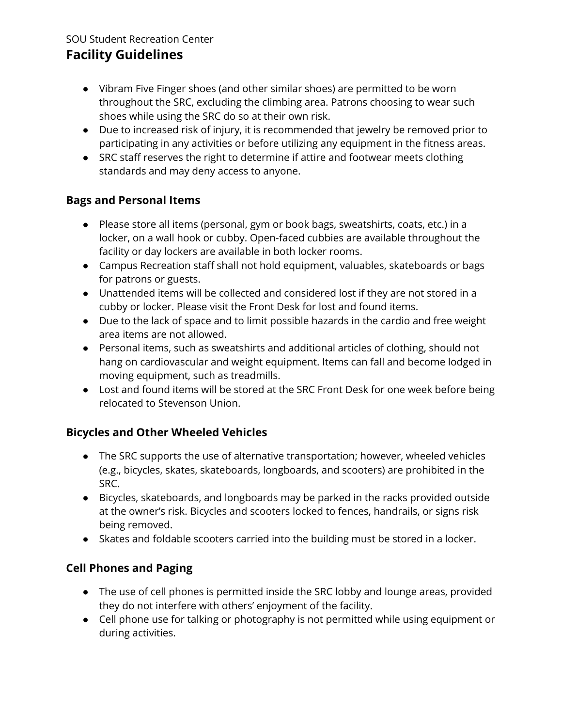# **Facility Guidelines**

- Vibram Five Finger shoes (and other similar shoes) are permitted to be worn throughout the SRC, excluding the climbing area. Patrons choosing to wear such shoes while using the SRC do so at their own risk.
- Due to increased risk of injury, it is recommended that jewelry be removed prior to participating in any activities or before utilizing any equipment in the fitness areas.
- SRC staff reserves the right to determine if attire and footwear meets clothing standards and may deny access to anyone.

## **Bags and Personal Items**

- Please store all items (personal, gym or book bags, sweatshirts, coats, etc.) in a locker, on a wall hook or cubby. Open-faced cubbies are available throughout the facility or day lockers are available in both locker rooms.
- Campus Recreation staff shall not hold equipment, valuables, skateboards or bags for patrons or guests.
- Unattended items will be collected and considered lost if they are not stored in a cubby or locker. Please visit the Front Desk for lost and found items.
- Due to the lack of space and to limit possible hazards in the cardio and free weight area items are not allowed.
- Personal items, such as sweatshirts and additional articles of clothing, should not hang on cardiovascular and weight equipment. Items can fall and become lodged in moving equipment, such as treadmills.
- Lost and found items will be stored at the SRC Front Desk for one week before being relocated to Stevenson Union.

## **Bicycles and Other Wheeled Vehicles**

- The SRC supports the use of alternative transportation; however, wheeled vehicles (e.g., bicycles, skates, skateboards, longboards, and scooters) are prohibited in the SRC.
- Bicycles, skateboards, and longboards may be parked in the racks provided outside at the owner's risk. Bicycles and scooters locked to fences, handrails, or signs risk being removed.
- Skates and foldable scooters carried into the building must be stored in a locker.

## **Cell Phones and Paging**

- The use of cell phones is permitted inside the SRC lobby and lounge areas, provided they do not interfere with others' enjoyment of the facility.
- Cell phone use for talking or photography is not permitted while using equipment or during activities.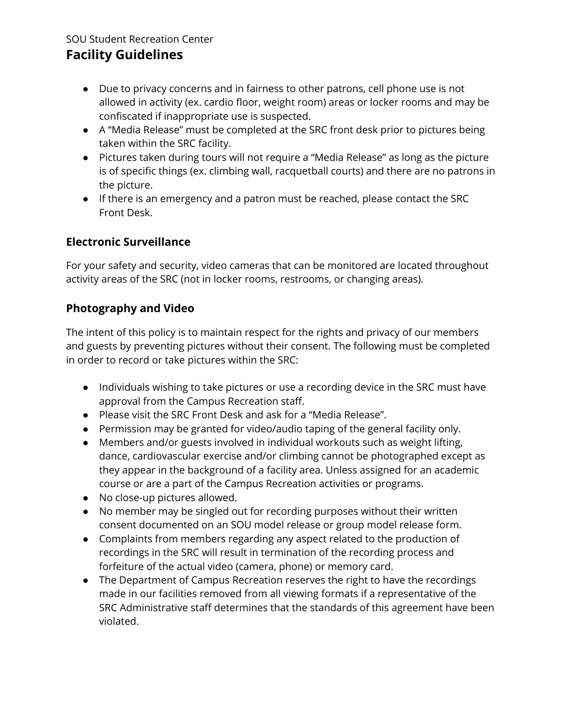# **Facility Guidelines**

- Due to privacy concerns and in fairness to other patrons, cell phone use is not allowed in activity (ex. cardio floor, weight room) areas or locker rooms and may be confiscated if inappropriate use is suspected.
- A "Media Release" must be completed at the SRC front desk prior to pictures being taken within the SRC facility.
- Pictures taken during tours will not require a "Media Release" as long as the picture is of specific things (ex. climbing wall, racquetball courts) and there are no patrons in the picture.
- If there is an emergency and a patron must be reached, please contact the SRC Front Desk.

## **Electronic Surveillance**

For your safety and security, video cameras that can be monitored are located throughout activity areas of the SRC (not in locker rooms, restrooms, or changing areas).

## **Photography and Video**

The intent of this policy is to maintain respect for the rights and privacy of our members and guests by preventing pictures without their consent. The following must be completed in order to record or take pictures within the SRC:

- Individuals wishing to take pictures or use a recording device in the SRC must have approval from the Campus Recreation staff.
- Please visit the SRC Front Desk and ask for a "Media Release".
- Permission may be granted for video/audio taping of the general facility only.
- Members and/or guests involved in individual workouts such as weight lifting, dance, cardiovascular exercise and/or climbing cannot be photographed except as they appear in the background of a facility area. Unless assigned for an academic course or are a part of the Campus Recreation activities or programs.
- No close-up pictures allowed.
- No member may be singled out for recording purposes without their written consent documented on an SOU model release or group model release form.
- Complaints from members regarding any aspect related to the production of recordings in the SRC will result in termination of the recording process and forfeiture of the actual video (camera, phone) or memory card.
- The Department of Campus Recreation reserves the right to have the recordings made in our facilities removed from all viewing formats if a representative of the SRC Administrative staff determines that the standards of this agreement have been violated.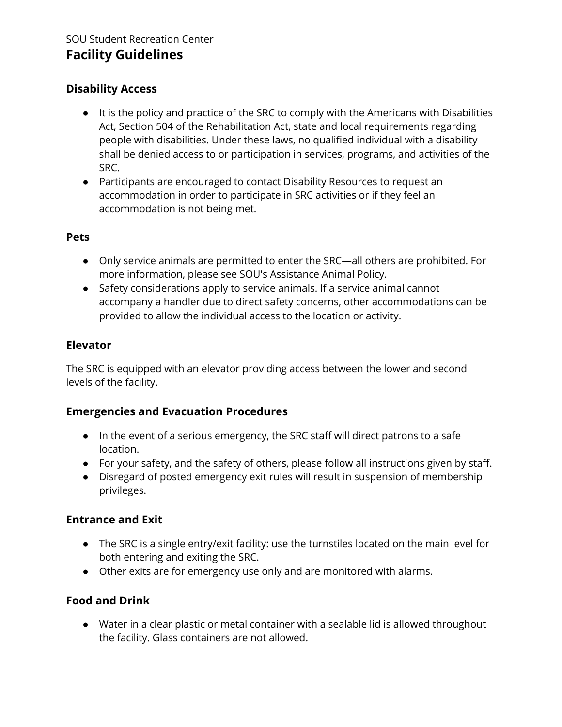## **Disability Access**

- It is the policy and practice of the SRC to comply with the Americans with Disabilities Act, Section 504 of the Rehabilitation Act, state and local requirements regarding people with disabilities. Under these laws, no qualified individual with a disability shall be denied access to or participation in services, programs, and activities of the SRC.
- Participants are encouraged to contact Disability Resources to request an accommodation in order to participate in SRC activities or if they feel an accommodation is not being met.

#### **Pets**

- Only service animals are permitted to enter the SRC—all others are prohibited. For more information, please see SOU's Assistance Animal Policy.
- Safety considerations apply to service animals. If a service animal cannot accompany a handler due to direct safety concerns, other accommodations can be provided to allow the individual access to the location or activity.

## **Elevator**

The SRC is equipped with an elevator providing access between the lower and second levels of the facility.

## **Emergencies and Evacuation Procedures**

- In the event of a serious emergency, the SRC staff will direct patrons to a safe location.
- For your safety, and the safety of others, please follow all instructions given by staff.
- Disregard of posted emergency exit rules will result in suspension of membership privileges.

## **Entrance and Exit**

- The SRC is a single entry/exit facility: use the turnstiles located on the main level for both entering and exiting the SRC.
- Other exits are for emergency use only and are monitored with alarms.

## **Food and Drink**

● Water in a clear plastic or metal container with a sealable lid is allowed throughout the facility. Glass containers are not allowed.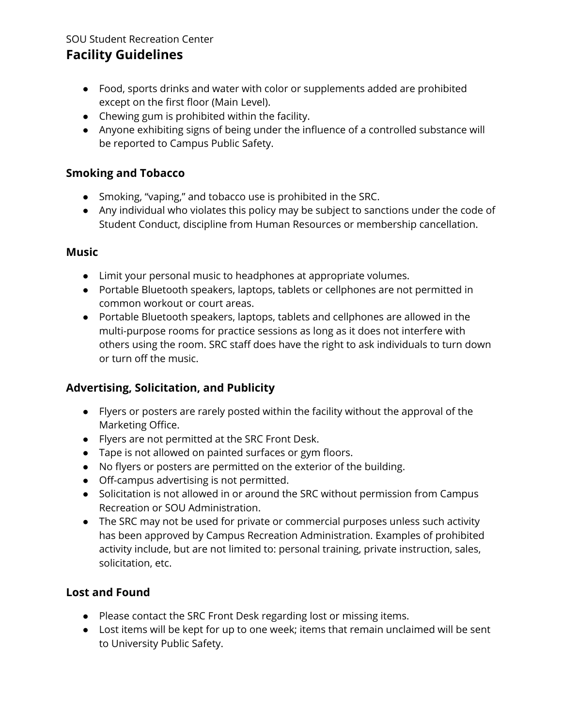# **Facility Guidelines**

- Food, sports drinks and water with color or supplements added are prohibited except on the first floor (Main Level).
- Chewing gum is prohibited within the facility.
- Anyone exhibiting signs of being under the influence of a controlled substance will be reported to Campus Public Safety.

## **Smoking and Tobacco**

- Smoking, "vaping," and tobacco use is prohibited in the SRC.
- Any individual who violates this policy may be subject to sanctions under the code of Student Conduct, discipline from Human Resources or membership cancellation.

### **Music**

- Limit your personal music to headphones at appropriate volumes.
- Portable Bluetooth speakers, laptops, tablets or cellphones are not permitted in common workout or court areas.
- Portable Bluetooth speakers, laptops, tablets and cellphones are allowed in the multi-purpose rooms for practice sessions as long as it does not interfere with others using the room. SRC staff does have the right to ask individuals to turn down or turn off the music.

## **Advertising, Solicitation, and Publicity**

- Flyers or posters are rarely posted within the facility without the approval of the Marketing Office.
- Flyers are not permitted at the SRC Front Desk.
- Tape is not allowed on painted surfaces or gym floors.
- No flyers or posters are permitted on the exterior of the building.
- Off-campus advertising is not permitted.
- Solicitation is not allowed in or around the SRC without permission from Campus Recreation or SOU Administration.
- The SRC may not be used for private or commercial purposes unless such activity has been approved by Campus Recreation Administration. Examples of prohibited activity include, but are not limited to: personal training, private instruction, sales, solicitation, etc.

## **Lost and Found**

- Please contact the SRC Front Desk regarding lost or missing items.
- Lost items will be kept for up to one week; items that remain unclaimed will be sent to University Public Safety.